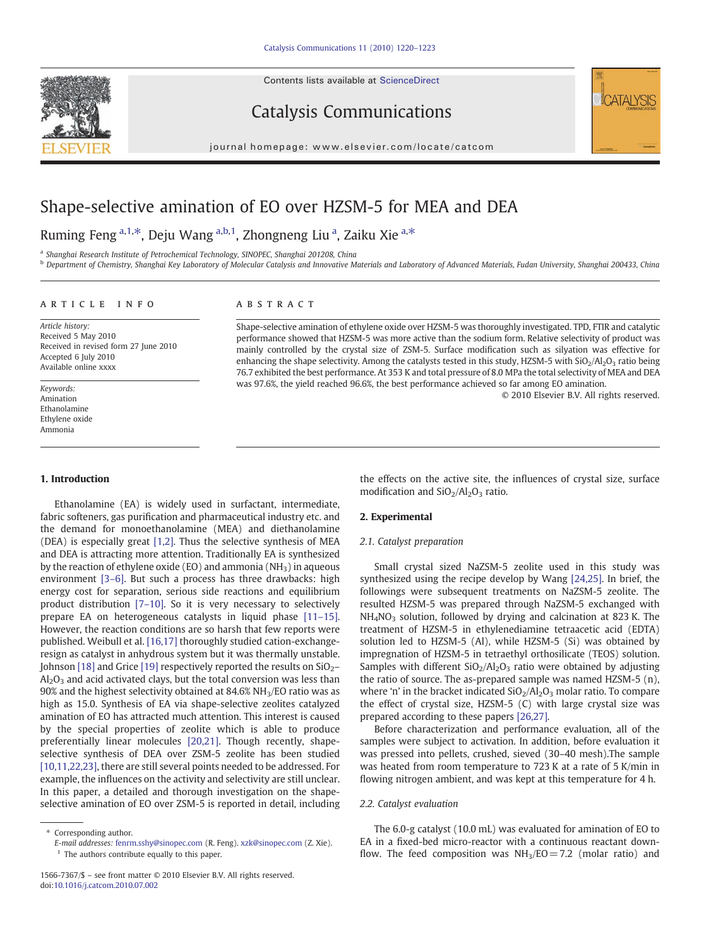Contents lists available at ScienceDirect







journal homepage: www.elsevier.com/locate/catcom

# Shape-selective amination of EO over HZSM-5 for MEA and DEA

## Ruming Feng a,1,\*, Deju Wang a,b,1, Zhongneng Liu <sup>a</sup>, Zaiku Xie a,\*

<sup>a</sup> Shanghai Research Institute of Petrochemical Technology, SINOPEC, Shanghai 201208, China

**b Department of Chemistry, Shanghai Key Laboratory of Molecular Catalysis and Innovative Materials and Laboratory of Advanced Materials, Fudan University, Shanghai 200433, China** 

#### article info abstract

Article history: Received 5 May 2010 Received in revised form 27 June 2010 Accepted 6 July 2010 Available online xxxx

Keywords: Amination Ethanolamine Ethylene oxide Ammonia

#### 1. Introduction

Ethanolamine (EA) is widely used in surfactant, intermediate, fabric softeners, gas purification and pharmaceutical industry etc. and the demand for monoethanolamine (MEA) and diethanolamine (DEA) is especially great [\[1,2\]](#page-3-0). Thus the selective synthesis of MEA and DEA is attracting more attention. Traditionally EA is synthesized by the reaction of ethylene oxide (EO) and ammonia ( $NH<sub>3</sub>$ ) in aqueous environment [3–[6\].](#page-3-0) But such a process has three drawbacks: high energy cost for separation, serious side reactions and equilibrium product distribution [7–[10\]](#page-3-0). So it is very necessary to selectively prepare EA on heterogeneous catalysts in liquid phase [11–[15\].](#page-3-0) However, the reaction conditions are so harsh that few reports were published. Weibull et al. [\[16,17\]](#page-3-0) thoroughly studied cation-exchangeresign as catalyst in anhydrous system but it was thermally unstable. Johnson [\[18\]](#page-3-0) and Grice [\[19\]](#page-3-0) respectively reported the results on  $SiO<sub>2</sub>$ –  $Al_2O_3$  and acid activated clays, but the total conversion was less than 90% and the highest selectivity obtained at 84.6%  $NH<sub>3</sub>/EO$  ratio was as high as 15.0. Synthesis of EA via shape-selective zeolites catalyzed amination of EO has attracted much attention. This interest is caused by the special properties of zeolite which is able to produce preferentially linear molecules [\[20,21\]](#page-3-0). Though recently, shapeselective synthesis of DEA over ZSM-5 zeolite has been studied [\[10,11,22,23\]](#page-3-0), there are still several points needed to be addressed. For example, the influences on the activity and selectivity are still unclear. In this paper, a detailed and thorough investigation on the shapeselective amination of EO over ZSM-5 is reported in detail, including

 $<sup>1</sup>$  The authors contribute equally to this paper.</sup>

Shape-selective amination of ethylene oxide over HZSM-5 was thoroughly investigated. TPD, FTIR and catalytic performance showed that HZSM-5 was more active than the sodium form. Relative selectivity of product was mainly controlled by the crystal size of ZSM-5. Surface modification such as silyation was effective for enhancing the shape selectivity. Among the catalysts tested in this study, HZSM-5 with  $SiO_2/Al_2O_3$  ratio being 76.7 exhibited the best performance. At 353 K and total pressure of 8.0 MPa the total selectivity of MEA and DEA was 97.6%, the yield reached 96.6%, the best performance achieved so far among EO amination.

© 2010 Elsevier B.V. All rights reserved.

the effects on the active site, the influences of crystal size, surface modification and  $SiO<sub>2</sub>/Al<sub>2</sub>O<sub>3</sub>$  ratio.

#### 2. Experimental

### 2.1. Catalyst preparation

Small crystal sized NaZSM-5 zeolite used in this study was synthesized using the recipe develop by Wang [\[24,25\]](#page-3-0). In brief, the followings were subsequent treatments on NaZSM-5 zeolite. The resulted HZSM-5 was prepared through NaZSM-5 exchanged with NH4NO3 solution, followed by drying and calcination at 823 K. The treatment of HZSM-5 in ethylenediamine tetraacetic acid (EDTA) solution led to HZSM-5 (Al), while HZSM-5 (Si) was obtained by impregnation of HZSM-5 in tetraethyl orthosilicate (TEOS) solution. Samples with different  $SiO<sub>2</sub>/Al<sub>2</sub>O<sub>3</sub>$  ratio were obtained by adjusting the ratio of source. The as-prepared sample was named HZSM-5 (n), where 'n' in the bracket indicated  $SiO<sub>2</sub>/Al<sub>2</sub>O<sub>3</sub>$  molar ratio. To compare the effect of crystal size, HZSM-5 (C) with large crystal size was prepared according to these papers [\[26,27\].](#page-3-0)

Before characterization and performance evaluation, all of the samples were subject to activation. In addition, before evaluation it was pressed into pellets, crushed, sieved (30–40 mesh).The sample was heated from room temperature to 723 K at a rate of 5 K/min in flowing nitrogen ambient, and was kept at this temperature for 4 h.

#### 2.2. Catalyst evaluation

The 6.0-g catalyst (10.0 mL) was evaluated for amination of EO to EA in a fixed-bed micro-reactor with a continuous reactant downflow. The feed composition was  $NH<sub>3</sub>/EO = 7.2$  (molar ratio) and

<sup>⁎</sup> Corresponding author. E-mail addresses: [fenrm.sshy@sinopec.com](mailto:fenrm.sshy@sinopec.com) (R. Feng). [xzk@sinopec.com](mailto:xzk@sinopec.com) (Z. Xie).

<sup>1566-7367/\$</sup> – see front matter © 2010 Elsevier B.V. All rights reserved. doi[:10.1016/j.catcom.2010.07.002](http://dx.doi.org/10.1016/j.catcom.2010.07.002)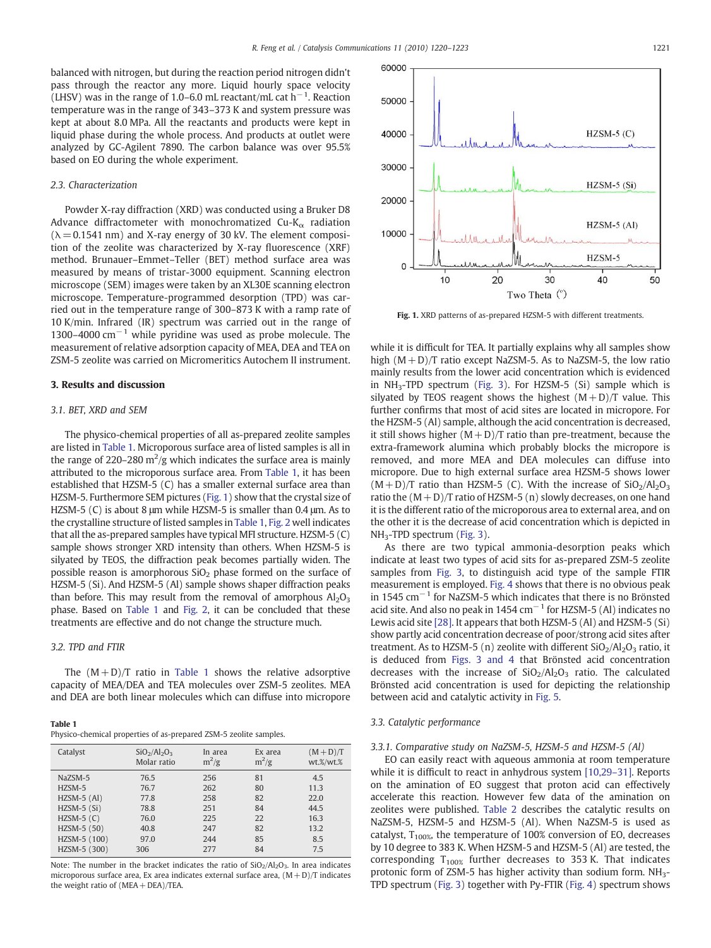balanced with nitrogen, but during the reaction period nitrogen didn't pass through the reactor any more. Liquid hourly space velocity (LHSV) was in the range of 1.0–6.0 mL reactant/mL cat  $h^{-1}$ . Reaction temperature was in the range of 343–373 K and system pressure was kept at about 8.0 MPa. All the reactants and products were kept in liquid phase during the whole process. And products at outlet were analyzed by GC-Agilent 7890. The carbon balance was over 95.5% based on EO during the whole experiment.

#### 2.3. Characterization

Powder X-ray diffraction (XRD) was conducted using a Bruker D8 Advance diffractometer with monochromatized Cu-K $_{\alpha}$  radiation  $(\lambda = 0.1541 \text{ nm})$  and X-ray energy of 30 kV. The element composition of the zeolite was characterized by X-ray fluorescence (XRF) method. Brunauer–Emmet–Teller (BET) method surface area was measured by means of tristar-3000 equipment. Scanning electron microscope (SEM) images were taken by an XL30E scanning electron microscope. Temperature-programmed desorption (TPD) was carried out in the temperature range of 300–873 K with a ramp rate of 10 K/min. Infrared (IR) spectrum was carried out in the range of 1300–4000  $\text{cm}^{-1}$  while pyridine was used as probe molecule. The measurement of relative adsorption capacity of MEA, DEA and TEA on ZSM-5 zeolite was carried on Micromeritics Autochem ΙΙ instrument.

#### 3. Results and discussion

#### 3.1. BET, XRD and SEM

The physico-chemical properties of all as-prepared zeolite samples are listed in Table 1. Microporous surface area of listed samples is all in the range of 220–280 m<sup>2</sup>/g which indicates the surface area is mainly attributed to the microporous surface area. From Table 1, it has been established that HZSM-5 (C) has a smaller external surface area than HZSM-5. Furthermore SEM pictures (Fig. 1) show that the crystal size of HZSM-5 (C) is about 8 μm while HZSM-5 is smaller than 0.4 μm. As to the crystalline structure of listed samples in Table 1, [Fig. 2](#page-2-0) well indicates that all the as-prepared samples have typical MFI structure. HZSM-5 (C) sample shows stronger XRD intensity than others. When HZSM-5 is silyated by TEOS, the diffraction peak becomes partially widen. The possible reason is amorphorous  $SiO<sub>2</sub>$  phase formed on the surface of HZSM-5 (Si). And HZSM-5 (Al) sample shows shaper diffraction peaks than before. This may result from the removal of amorphous  $Al_2O_3$ phase. Based on Table 1 and [Fig. 2,](#page-2-0) it can be concluded that these treatments are effective and do not change the structure much.

#### 3.2. TPD and FTIR

The  $(M+D)/T$  ratio in Table 1 shows the relative adsorptive capacity of MEA/DEA and TEA molecules over ZSM-5 zeolites. MEA and DEA are both linear molecules which can diffuse into micropore

#### Table 1

Physico-chemical properties of as-prepared ZSM-5 zeolite samples.

| Catalyst      | $SiO2/Al2O3$<br>Molar ratio | In area<br>$m^2/g$ | Ex area<br>$m^2/g$ | $(M+D)/T$<br>wt.%/wt.% |
|---------------|-----------------------------|--------------------|--------------------|------------------------|
| NaZSM-5       | 76.5                        | 256                | 81                 | 4.5                    |
| HZSM-5        | 76.7                        | 262                | 80                 | 11.3                   |
| $HZSM-5$ (Al) | 77.8                        | 258                | 82                 | 22.0                   |
| $HZSM-5(Si)$  | 78.8                        | 251                | 84                 | 44.5                   |
| $HZSM-5(C)$   | 76.0                        | 225                | 22                 | 16.3                   |
| HZSM-5 (50)   | 40.8                        | 247                | 82                 | 13.2                   |
| HZSM-5 (100)  | 97.0                        | 244                | 85                 | 8.5                    |
| HZSM-5 (300)  | 306                         | 277                | 84                 | 7.5                    |

Note: The number in the bracket indicates the ratio of  $SiO<sub>2</sub>/Al<sub>2</sub>O<sub>3</sub>$ . In area indicates microporous surface area, Ex area indicates external surface area,  $(M+D)/T$  indicates the weight ratio of (MEA+ DEA)/TEA.



Fig. 1. XRD patterns of as-prepared HZSM-5 with different treatments.

while it is difficult for TEA. It partially explains why all samples show high  $(M+D)/T$  ratio except NaZSM-5. As to NaZSM-5, the low ratio mainly results from the lower acid concentration which is evidenced in  $NH<sub>3</sub>-TPD$  spectrum ([Fig. 3\)](#page-2-0). For HZSM-5 (Si) sample which is silyated by TEOS reagent shows the highest  $(M+D)/T$  value. This further confirms that most of acid sites are located in micropore. For the HZSM-5 (Al) sample, although the acid concentration is decreased, it still shows higher  $(M+D)/T$  ratio than pre-treatment, because the extra-framework alumina which probably blocks the micropore is removed, and more MEA and DEA molecules can diffuse into micropore. Due to high external surface area HZSM-5 shows lower  $(M+D)/T$  ratio than HZSM-5 (C). With the increase of  $SiO<sub>2</sub>/Al<sub>2</sub>O<sub>3</sub>$ ratio the  $(M + D)/T$  ratio of HZSM-5 (n) slowly decreases, on one hand it is the different ratio of the microporous area to external area, and on the other it is the decrease of acid concentration which is depicted in NH3-TPD spectrum ([Fig. 3](#page-2-0)).

As there are two typical ammonia-desorption peaks which indicate at least two types of acid sits for as-prepared ZSM-5 zeolite samples from [Fig. 3](#page-2-0), to distinguish acid type of the sample FTIR measurement is employed. [Fig. 4](#page-2-0) shows that there is no obvious peak in 1545  $cm^{-1}$  for NaZSM-5 which indicates that there is no Brönsted acid site. And also no peak in 1454  $cm^{-1}$  for HZSM-5 (Al) indicates no Lewis acid site [\[28\].](#page-3-0) It appears that both HZSM-5 (Al) and HZSM-5 (Si) show partly acid concentration decrease of poor/strong acid sites after treatment. As to HZSM-5 (n) zeolite with different  $SiO<sub>2</sub>/Al<sub>2</sub>O<sub>3</sub>$  ratio, it is deduced from [Figs. 3 and 4](#page-2-0) that Brönsted acid concentration decreases with the increase of  $SiO<sub>2</sub>/Al<sub>2</sub>O<sub>3</sub>$  ratio. The calculated Brönsted acid concentration is used for depicting the relationship between acid and catalytic activity in [Fig. 5](#page-2-0).

#### 3.3. Catalytic performance

#### 3.3.1. Comparative study on NaZSM-5, HZSM-5 and HZSM-5 (Al)

EO can easily react with aqueous ammonia at room temperature while it is difficult to react in anhydrous system [\[10,29](#page-3-0)–31]. Reports on the amination of EO suggest that proton acid can effectively accelerate this reaction. However few data of the amination on zeolites were published. [Table 2](#page-2-0) describes the catalytic results on NaZSM-5, HZSM-5 and HZSM-5 (Al). When NaZSM-5 is used as catalyst,  $T_{100\%}$ , the temperature of 100% conversion of EO, decreases by 10 degree to 383 K. When HZSM-5 and HZSM-5 (Al) are tested, the corresponding  $T_{100\%}$  further decreases to 353 K. That indicates protonic form of ZSM-5 has higher activity than sodium form. NH3- TPD spectrum [\(Fig. 3](#page-2-0)) together with Py-FTIR [\(Fig. 4\)](#page-2-0) spectrum shows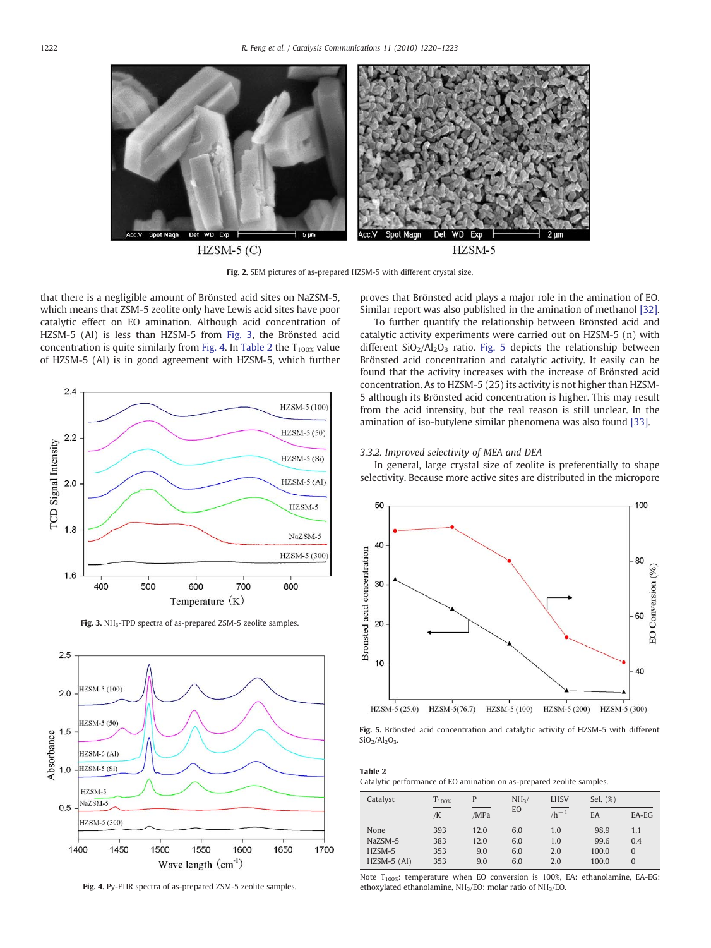<span id="page-2-0"></span>

 $HZSM-5(C)$ 

HZSM-5

Fig. 2. SEM pictures of as-prepared HZSM-5 with different crystal size.

that there is a negligible amount of Brönsted acid sites on NaZSM-5, which means that ZSM-5 zeolite only have Lewis acid sites have poor catalytic effect on EO amination. Although acid concentration of HZSM-5 (Al) is less than HZSM-5 from Fig. 3, the Brönsted acid concentration is quite similarly from Fig. 4. In Table 2 the  $T_{100\%}$  value of HZSM-5 (Al) is in good agreement with HZSM-5, which further



Fig. 3. NH<sub>3</sub>-TPD spectra of as-prepared ZSM-5 zeolite samples.



Fig. 4. Py-FTIR spectra of as-prepared ZSM-5 zeolite samples.

proves that Brönsted acid plays a major role in the amination of EO. Similar report was also published in the amination of methanol [\[32\].](#page-3-0)

To further quantify the relationship between Brönsted acid and catalytic activity experiments were carried out on HZSM-5 (n) with different  $SiO<sub>2</sub>/Al<sub>2</sub>O<sub>3</sub>$  ratio. Fig. 5 depicts the relationship between Brönsted acid concentration and catalytic activity. It easily can be found that the activity increases with the increase of Brönsted acid concentration. As to HZSM-5 (25) its activity is not higher than HZSM-5 although its Brönsted acid concentration is higher. This may result from the acid intensity, but the real reason is still unclear. In the amination of iso-butylene similar phenomena was also found [\[33\]](#page-3-0).

#### 3.3.2. Improved selectivity of MEA and DEA

In general, large crystal size of zeolite is preferentially to shape selectivity. Because more active sites are distributed in the micropore



Fig. 5. Brönsted acid concentration and catalytic activity of HZSM-5 with different  $SiO<sub>2</sub>/Al<sub>2</sub>O<sub>3</sub>$ .

#### Table 2

Catalytic performance of EO amination on as-prepared zeolite samples.

| Catalyst      | $T_{100\%}$ | P    | NH <sub>3</sub> | <b>LHSV</b>               | Sel. (%) |                |
|---------------|-------------|------|-----------------|---------------------------|----------|----------------|
|               | /K          | /MPa | EO              | $\frac{1}{\sqrt{h^{-1}}}$ | EA       | EA-EG          |
| None          | 393         | 12.0 | 6.0             | 1.0                       | 98.9     | 1.1            |
| NaZSM-5       | 383         | 12.0 | 6.0             | 1.0                       | 99.6     | 0.4            |
| $HZSM-5$      | 353         | 9.0  | 6.0             | 2.0                       | 100.0    | $\overline{0}$ |
| $HZSM-5$ (Al) | 353         | 9.0  | 6.0             | 2.0                       | 100.0    | $\overline{0}$ |

Note  $T_{100\%}$ : temperature when EO conversion is 100%, EA: ethanolamine, EA-EG: ethoxylated ethanolamine, NH3/EO: molar ratio of NH3/EO.